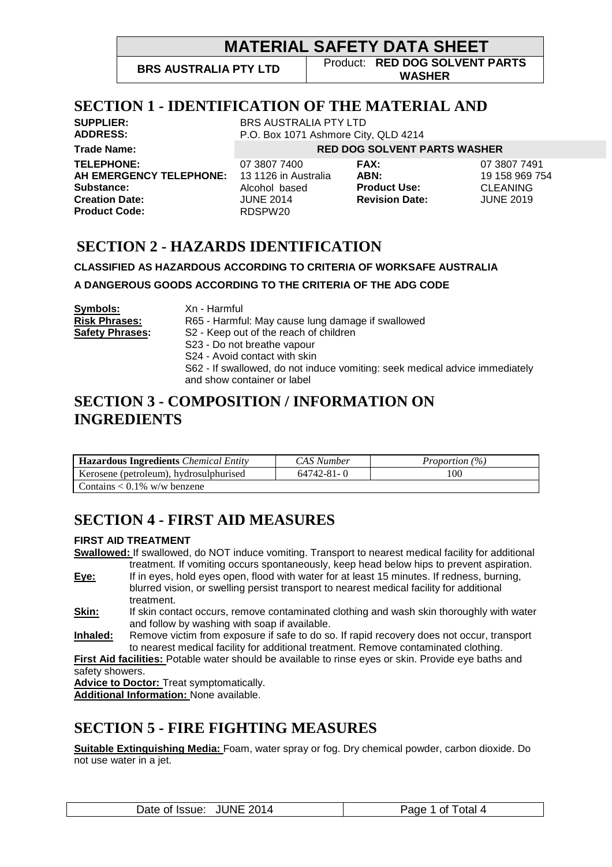P.O. Box 1071 Ashmore City, QLD 4214

**BRS AUSTRALIA PTY LTD** Product: **RED DOG SOLVENT PARTS WASHER**

### **SECTION 1 - IDENTIFICATION OF THE MATERIAL AND**

**SUPPLIER:** BRS AUSTRALIA PTY LTD<br>**ADDRESS:** PO Box 1071 Ashmore City **Trade Name: RED DOG SOLVENT PARTS WASHER TELEPHONE:** 07 3807 7400 **FAX:** 07 3807 7491 **AH EMERGENCY TELEPHONE:** 13 1126 in Australia **ABN:** 19 158 969 754 **Substance:** Alcohol based **Product Use:** CLEANING **Creation Date:** JUNE 2014 **Revision Date:** JUNE 2019 **Product Code:** RDSPW20

## **SECTION 2 - HAZARDS IDENTIFICATION**

#### **CLASSIFIED AS HAZARDOUS ACCORDING TO CRITERIA OF WORKSAFE AUSTRALIA**

**A DANGEROUS GOODS ACCORDING TO THE CRITERIA OF THE ADG CODE** 

| Symbols:<br><b>Risk Phrases:</b> | Xn - Harmful<br>R65 - Harmful: May cause lung damage if swallowed                                                                                                          |
|----------------------------------|----------------------------------------------------------------------------------------------------------------------------------------------------------------------------|
| <b>Safety Phrases:</b>           | S2 - Keep out of the reach of children                                                                                                                                     |
|                                  | S23 - Do not breathe vapour<br>S24 - Avoid contact with skin<br>S62 - If swallowed, do not induce vomiting: seek medical advice immediately<br>and show container or label |

#### **SECTION 3 - COMPOSITION / INFORMATION ON INGREDIENTS**

| <b>Hazardous Ingredients</b> <i>Chemical Entity</i> | CAS Number       | <i>Proportion</i> (%) |  |
|-----------------------------------------------------|------------------|-----------------------|--|
| Kerosene (petroleum), hydrosulphurised              | $64742 - 81 - 0$ | 100                   |  |
| Contains $< 0.1\%$ w/w benzene                      |                  |                       |  |

# **SECTION 4 - FIRST AID MEASURES**

#### **FIRST AID TREATMENT**

**Swallowed:** If swallowed, do NOT induce vomiting. Transport to nearest medical facility for additional treatment. If vomiting occurs spontaneously, keep head below hips to prevent aspiration.

- **Eye:** If in eyes, hold eyes open, flood with water for at least 15 minutes. If redness, burning, blurred vision, or swelling persist transport to nearest medical facility for additional treatment.
- **Skin:** If skin contact occurs, remove contaminated clothing and wash skin thoroughly with water and follow by washing with soap if available.
- **Inhaled:** Remove victim from exposure if safe to do so. If rapid recovery does not occur, transport to nearest medical facility for additional treatment. Remove contaminated clothing.

**First Aid facilities:** Potable water should be available to rinse eyes or skin. Provide eye baths and safety showers.

**Advice to Doctor:** Treat symptomatically.

**Additional Information:** None available.

# **SECTION 5 - FIRE FIGHTING MEASURES**

**Suitable Extinguishing Media:** Foam, water spray or fog. Dry chemical powder, carbon dioxide. Do not use water in a jet.

| <b>JUNE 2014</b> | of Total 4 |
|------------------|------------|
| Date of Issue:   | Page       |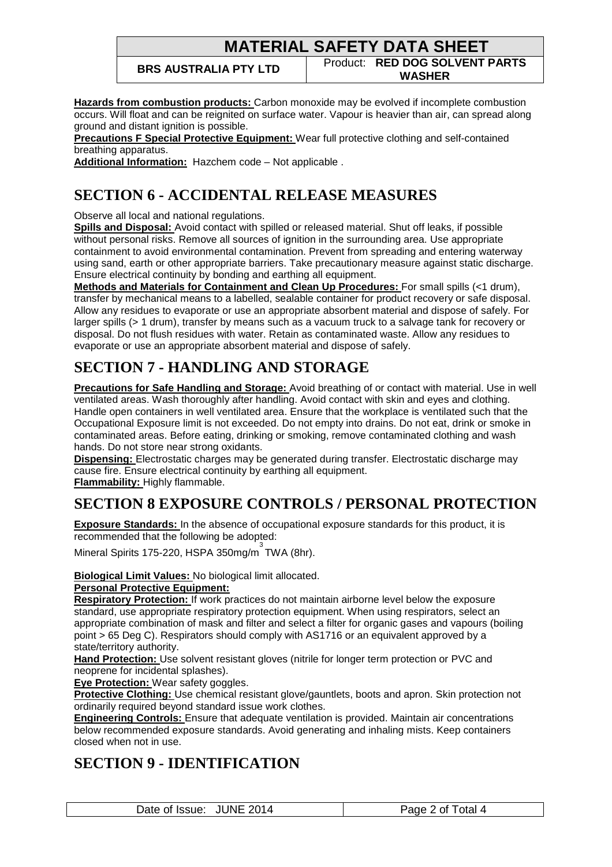**BRS AUSTRALIA PTY LTD** Product: **RED DOG SOLVENT PARTS WASHER**

**Hazards from combustion products:** Carbon monoxide may be evolved if incomplete combustion occurs. Will float and can be reignited on surface water. Vapour is heavier than air, can spread along ground and distant ignition is possible.

**Precautions F Special Protective Equipment:** Wear full protective clothing and self-contained breathing apparatus.

**Additional Information:** Hazchem code – Not applicable .

## **SECTION 6 - ACCIDENTAL RELEASE MEASURES**

Observe all local and national regulations.

**Spills and Disposal:** Avoid contact with spilled or released material. Shut off leaks, if possible without personal risks. Remove all sources of ignition in the surrounding area. Use appropriate containment to avoid environmental contamination. Prevent from spreading and entering waterway using sand, earth or other appropriate barriers. Take precautionary measure against static discharge. Ensure electrical continuity by bonding and earthing all equipment.

**Methods and Materials for Containment and Clean Up Procedures:** For small spills (<1 drum), transfer by mechanical means to a labelled, sealable container for product recovery or safe disposal. Allow any residues to evaporate or use an appropriate absorbent material and dispose of safely. For larger spills (> 1 drum), transfer by means such as a vacuum truck to a salvage tank for recovery or disposal. Do not flush residues with water. Retain as contaminated waste. Allow any residues to evaporate or use an appropriate absorbent material and dispose of safely.

# **SECTION 7 - HANDLING AND STORAGE**

**Precautions for Safe Handling and Storage:** Avoid breathing of or contact with material. Use in well ventilated areas. Wash thoroughly after handling. Avoid contact with skin and eyes and clothing. Handle open containers in well ventilated area. Ensure that the workplace is ventilated such that the Occupational Exposure limit is not exceeded. Do not empty into drains. Do not eat, drink or smoke in contaminated areas. Before eating, drinking or smoking, remove contaminated clothing and wash hands. Do not store near strong oxidants.

**Dispensing:** Electrostatic charges may be generated during transfer. Electrostatic discharge may cause fire. Ensure electrical continuity by earthing all equipment. **Flammability:** Highly flammable.

# **SECTION 8 EXPOSURE CONTROLS / PERSONAL PROTECTION**

**Exposure Standards:** In the absence of occupational exposure standards for this product, it is recommended that the following be adopted:

Mineral Spirits 175-220, HSPA 350mg/m 3 TWA (8hr).

**Biological Limit Values:** No biological limit allocated.

#### **Personal Protective Equipment:**

**Respiratory Protection:** If work practices do not maintain airborne level below the exposure standard, use appropriate respiratory protection equipment. When using respirators, select an appropriate combination of mask and filter and select a filter for organic gases and vapours (boiling point > 65 Deg C). Respirators should comply with AS1716 or an equivalent approved by a state/territory authority.

**Hand Protection:** Use solvent resistant gloves (nitrile for longer term protection or PVC and neoprene for incidental splashes).

**Eye Protection:** Wear safety goggles.

**Protective Clothing:** Use chemical resistant glove/gauntlets, boots and apron. Skin protection not ordinarily required beyond standard issue work clothes.

**Engineering Controls:** Ensure that adequate ventilation is provided. Maintain air concentrations below recommended exposure standards. Avoid generating and inhaling mists. Keep containers closed when not in use.

## **SECTION 9 - IDENTIFICATION**

Date of Issue: JUNE 2014 **Page 2 of Total 4**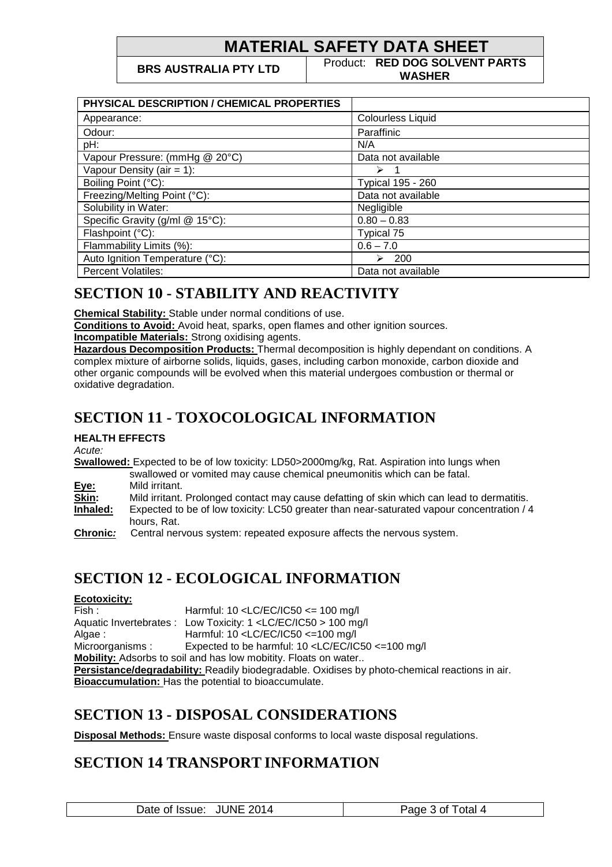**BRS AUSTRALIA PTY LTD** Product: **RED DOG SOLVENT PARTS WASHER**

| PHYSICAL DESCRIPTION / CHEMICAL PROPERTIES |                          |
|--------------------------------------------|--------------------------|
| Appearance:                                | <b>Colourless Liquid</b> |
| Odour:                                     | Paraffinic               |
| pH:                                        | N/A                      |
| Vapour Pressure: (mmHg @ 20°C)             | Data not available       |
| Vapour Density (air = $1$ ):               | $\triangleright$ 1       |
| Boiling Point (°C):                        | Typical 195 - 260        |
| Freezing/Melting Point (°C):               | Data not available       |
| Solubility in Water:                       | Negligible               |
| Specific Gravity (g/ml @ 15°C):            | $0.80 - 0.83$            |
| Flashpoint (°C):                           | Typical 75               |
| Flammability Limits (%):                   | $0.6 - 7.0$              |
| Auto Ignition Temperature (°C):            | 200<br>➤                 |
| <b>Percent Volatiles:</b>                  | Data not available       |

## **SECTION 10 - STABILITY AND REACTIVITY**

**Chemical Stability:** Stable under normal conditions of use.

**Conditions to Avoid:** Avoid heat, sparks, open flames and other ignition sources.

**Incompatible Materials:** Strong oxidising agents.

**Hazardous Decomposition Products:** Thermal decomposition is highly dependant on conditions. A complex mixture of airborne solids, liquids, gases, including carbon monoxide, carbon dioxide and other organic compounds will be evolved when this material undergoes combustion or thermal or oxidative degradation.

# **SECTION 11 - TOXOCOLOGICAL INFORMATION**

**HEALTH EFFECTS** 

Acute:

**Swallowed:** Expected to be of low toxicity: LD50>2000mg/kg, Rat. Aspiration into lungs when swallowed or vomited may cause chemical pneumonitis which can be fatal.

**Eye:** Mild irritant.

**Skin:** Mild irritant. Prolonged contact may cause defatting of skin which can lead to dermatitis.

**Inhaled:** Expected to be of low toxicity: LC50 greater than near-saturated vapour concentration / 4 hours, Rat.

**Chronic:** Central nervous system: repeated exposure affects the nervous system.

## **SECTION 12 - ECOLOGICAL INFORMATION**

#### **Ecotoxicity:**

Fish : Harmful: 10 <LC/EC/IC50 <= 100 mg/l Aquatic Invertebrates : Low Toxicity: 1 <LC/EC/IC50 > 100 mg/l Algae : Harmful: 10 <LC/EC/IC50 <=100 mg/l Microorganisms : Expected to be harmful: 10 <LC/EC/IC50 <= 100 mg/l **Mobility:** Adsorbs to soil and has low mobitity. Floats on water.. **Persistance/degradability:** Readily biodegradable. Oxidises by photo-chemical reactions in air. **Bioaccumulation:** Has the potential to bioaccumulate.

#### **SECTION 13 - DISPOSAL CONSIDERATIONS**

**Disposal Methods:** Ensure waste disposal conforms to local waste disposal regulations.

#### **SECTION 14 TRANSPORT INFORMATION**